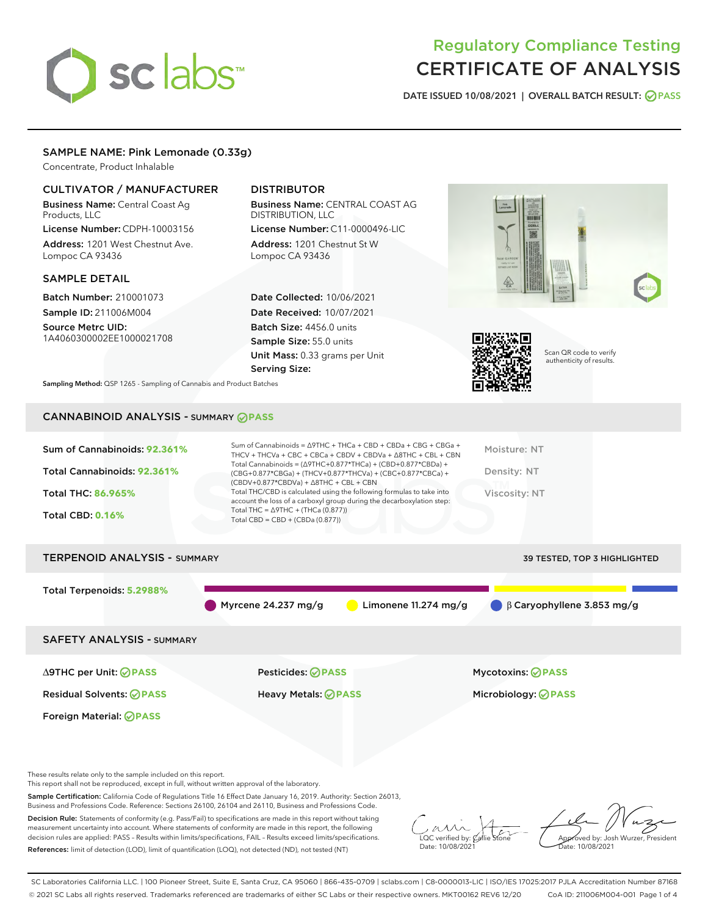# sclabs<sup>\*</sup>

# Regulatory Compliance Testing CERTIFICATE OF ANALYSIS

DATE ISSUED 10/08/2021 | OVERALL BATCH RESULT: @ PASS

# SAMPLE NAME: Pink Lemonade (0.33g)

Concentrate, Product Inhalable

# CULTIVATOR / MANUFACTURER

Business Name: Central Coast Ag Products, LLC

License Number: CDPH-10003156 Address: 1201 West Chestnut Ave. Lompoc CA 93436

# SAMPLE DETAIL

Batch Number: 210001073 Sample ID: 211006M004 Source Metrc UID:

1A4060300002EE1000021708

# DISTRIBUTOR

Business Name: CENTRAL COAST AG DISTRIBUTION, LLC License Number: C11-0000496-LIC

Address: 1201 Chestnut St W Lompoc CA 93436

Date Collected: 10/06/2021 Date Received: 10/07/2021 Batch Size: 4456.0 units Sample Size: 55.0 units Unit Mass: 0.33 grams per Unit Serving Size:





Scan QR code to verify authenticity of results.

Sampling Method: QSP 1265 - Sampling of Cannabis and Product Batches

# CANNABINOID ANALYSIS - SUMMARY **PASS**

| Sum of Cannabinoids: 92.361%<br>Total Cannabinoids: 92.361%<br>Total THC: 86.965%<br><b>Total CBD: 0.16%</b> | Sum of Cannabinoids = $\triangle$ 9THC + THCa + CBD + CBDa + CBG + CBGa +<br>THCV + THCVa + CBC + CBCa + CBDV + CBDVa + $\Delta$ 8THC + CBL + CBN<br>Total Cannabinoids = $(\Delta$ 9THC+0.877*THCa) + (CBD+0.877*CBDa) +<br>(CBG+0.877*CBGa) + (THCV+0.877*THCVa) + (CBC+0.877*CBCa) +<br>$(CBDV+0.877*CBDVa) + \Delta 8THC + CBL + CBN$<br>Total THC/CBD is calculated using the following formulas to take into<br>account the loss of a carboxyl group during the decarboxylation step:<br>Total THC = $\triangle$ 9THC + (THCa (0.877))<br>Total CBD = $CBD + (CBDa (0.877))$ | Moisture: NT<br>Density: NT<br>Viscosity: NT           |
|--------------------------------------------------------------------------------------------------------------|------------------------------------------------------------------------------------------------------------------------------------------------------------------------------------------------------------------------------------------------------------------------------------------------------------------------------------------------------------------------------------------------------------------------------------------------------------------------------------------------------------------------------------------------------------------------------------|--------------------------------------------------------|
| TERPENOID ANALYSIS - SUMMARY                                                                                 |                                                                                                                                                                                                                                                                                                                                                                                                                                                                                                                                                                                    | <b>39 TESTED, TOP 3 HIGHLIGHTED</b>                    |
| Total Terpenoids: 5.2988%                                                                                    | Myrcene $24.237$ mg/g<br>Limonene $11.274$ mg/g                                                                                                                                                                                                                                                                                                                                                                                                                                                                                                                                    | $\bigcirc$ $\beta$ Caryophyllene 3.853 mg/g            |
| <b>SAFETY ANALYSIS - SUMMARY</b>                                                                             |                                                                                                                                                                                                                                                                                                                                                                                                                                                                                                                                                                                    |                                                        |
| $\triangle$ 9THC per Unit: $\oslash$ PASS<br><b>Residual Solvents: ⊘PASS</b>                                 | Pesticides: ⊘PASS<br><b>Heavy Metals: ⊘ PASS</b>                                                                                                                                                                                                                                                                                                                                                                                                                                                                                                                                   | <b>Mycotoxins: ⊘PASS</b><br>Microbiology: <b>OPASS</b> |

These results relate only to the sample included on this report.

Foreign Material: **PASS**

This report shall not be reproduced, except in full, without written approval of the laboratory.

Sample Certification: California Code of Regulations Title 16 Effect Date January 16, 2019. Authority: Section 26013, Business and Professions Code. Reference: Sections 26100, 26104 and 26110, Business and Professions Code.

Decision Rule: Statements of conformity (e.g. Pass/Fail) to specifications are made in this report without taking measurement uncertainty into account. Where statements of conformity are made in this report, the following decision rules are applied: PASS – Results within limits/specifications, FAIL – Results exceed limits/specifications. References: limit of detection (LOD), limit of quantification (LOQ), not detected (ND), not tested (NT)

 $\sim$  CC verified by:  $\mathscr{C}$  a Date: 10/08/2021

Approved by: Josh Wurzer, President ate: 10/08/2021

SC Laboratories California LLC. | 100 Pioneer Street, Suite E, Santa Cruz, CA 95060 | 866-435-0709 | sclabs.com | C8-0000013-LIC | ISO/IES 17025:2017 PJLA Accreditation Number 87168 © 2021 SC Labs all rights reserved. Trademarks referenced are trademarks of either SC Labs or their respective owners. MKT00162 REV6 12/20 CoA ID: 211006M004-001 Page 1 of 4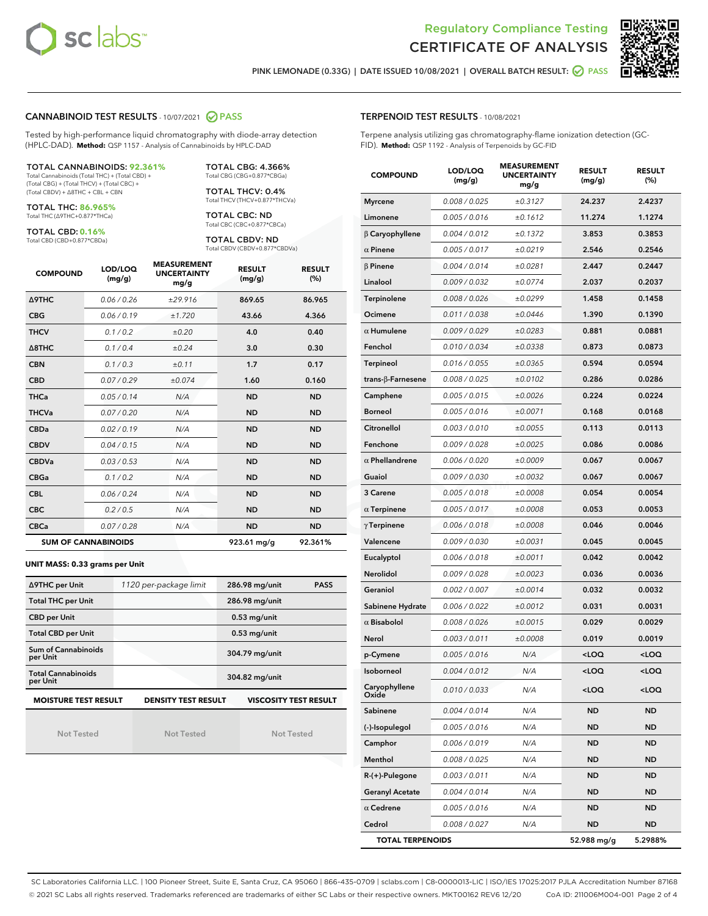



PINK LEMONADE (0.33G) | DATE ISSUED 10/08/2021 | OVERALL BATCH RESULT:  $\bigcirc$  PASS

#### CANNABINOID TEST RESULTS - 10/07/2021 2 PASS

Tested by high-performance liquid chromatography with diode-array detection (HPLC-DAD). **Method:** QSP 1157 - Analysis of Cannabinoids by HPLC-DAD

#### TOTAL CANNABINOIDS: **92.361%**

Total Cannabinoids (Total THC) + (Total CBD) + (Total CBG) + (Total THCV) + (Total CBC) + (Total CBDV) + ∆8THC + CBL + CBN

TOTAL THC: **86.965%** Total THC (∆9THC+0.877\*THCa)

TOTAL CBD: **0.16%**

Total CBD (CBD+0.877\*CBDa)

TOTAL CBG: 4.366% Total CBG (CBG+0.877\*CBGa)

TOTAL THCV: 0.4% Total THCV (THCV+0.877\*THCVa)

TOTAL CBC: ND Total CBC (CBC+0.877\*CBCa)

TOTAL CBDV: ND Total CBDV (CBDV+0.877\*CBDVa)

| <b>COMPOUND</b>  | LOD/LOQ<br>(mg/g)          | <b>MEASUREMENT</b><br><b>UNCERTAINTY</b><br>mg/g | <b>RESULT</b><br>(mg/g) | <b>RESULT</b><br>(%) |
|------------------|----------------------------|--------------------------------------------------|-------------------------|----------------------|
| <b>A9THC</b>     | 0.06/0.26                  | ±29.916                                          | 869.65                  | 86.965               |
| <b>CBG</b>       | 0.06/0.19                  | ±1.720                                           | 43.66                   | 4.366                |
| <b>THCV</b>      | 0.1/0.2                    | ±0.20                                            | 4.0                     | 0.40                 |
| $\triangle$ 8THC | 0.1/0.4                    | ±0.24                                            | 3.0                     | 0.30                 |
| <b>CBN</b>       | 0.1/0.3                    | ±0.11                                            | 1.7                     | 0.17                 |
| <b>CBD</b>       | 0.07/0.29                  | ±0.074                                           | 1.60                    | 0.160                |
| <b>THCa</b>      | 0.05/0.14                  | N/A                                              | <b>ND</b>               | <b>ND</b>            |
| <b>THCVa</b>     | 0.07/0.20                  | N/A                                              | <b>ND</b>               | <b>ND</b>            |
| <b>CBDa</b>      | 0.02/0.19                  | N/A                                              | <b>ND</b>               | <b>ND</b>            |
| <b>CBDV</b>      | 0.04/0.15                  | N/A                                              | <b>ND</b>               | <b>ND</b>            |
| <b>CBDVa</b>     | 0.03/0.53                  | N/A                                              | <b>ND</b>               | <b>ND</b>            |
| <b>CBGa</b>      | 0.1 / 0.2                  | N/A                                              | <b>ND</b>               | <b>ND</b>            |
| <b>CBL</b>       | 0.06 / 0.24                | N/A                                              | <b>ND</b>               | <b>ND</b>            |
| <b>CBC</b>       | 0.2 / 0.5                  | N/A                                              | <b>ND</b>               | <b>ND</b>            |
| <b>CBCa</b>      | 0.07/0.28                  | N/A                                              | <b>ND</b>               | <b>ND</b>            |
|                  | <b>SUM OF CANNABINOIDS</b> |                                                  | 923.61 mg/g             | 92.361%              |

#### **UNIT MASS: 0.33 grams per Unit**

| ∆9THC per Unit                        | 1120 per-package limit     | 286.98 mg/unit<br><b>PASS</b> |  |  |
|---------------------------------------|----------------------------|-------------------------------|--|--|
| <b>Total THC per Unit</b>             |                            | 286.98 mg/unit                |  |  |
| <b>CBD per Unit</b>                   |                            | $0.53$ mg/unit                |  |  |
| <b>Total CBD per Unit</b>             |                            | $0.53$ mg/unit                |  |  |
| Sum of Cannabinoids<br>per Unit       |                            | 304.79 mg/unit                |  |  |
| <b>Total Cannabinoids</b><br>per Unit |                            | 304.82 mg/unit                |  |  |
| <b>MOISTURE TEST RESULT</b>           | <b>DENSITY TEST RESULT</b> | <b>VISCOSITY TEST RESULT</b>  |  |  |

Not Tested

Not Tested

Not Tested

#### TERPENOID TEST RESULTS - 10/08/2021

Terpene analysis utilizing gas chromatography-flame ionization detection (GC-FID). **Method:** QSP 1192 - Analysis of Terpenoids by GC-FID

| <b>COMPOUND</b>         | LOD/LOQ<br>(mg/g) | <b>MEASUREMENT</b><br><b>UNCERTAINTY</b><br>mg/g | <b>RESULT</b><br>(mg/g)                         | <b>RESULT</b><br>(%) |
|-------------------------|-------------------|--------------------------------------------------|-------------------------------------------------|----------------------|
| <b>Myrcene</b>          | 0.008 / 0.025     | ±0.3127                                          | 24.237                                          | 2.4237               |
| Limonene                | 0.005 / 0.016     | ±0.1612                                          | 11.274                                          | 1.1274               |
| $\beta$ Caryophyllene   | 0.004 / 0.012     | ±0.1372                                          | 3.853                                           | 0.3853               |
| $\alpha$ Pinene         | 0.005 / 0.017     | ±0.0219                                          | 2.546                                           | 0.2546               |
| $\beta$ Pinene          | 0.004 / 0.014     | ±0.0281                                          | 2.447                                           | 0.2447               |
| Linalool                | 0.009/0.032       | ±0.0774                                          | 2.037                                           | 0.2037               |
| Terpinolene             | 0.008 / 0.026     | ±0.0299                                          | 1.458                                           | 0.1458               |
| Ocimene                 | 0.011 / 0.038     | ±0.0446                                          | 1.390                                           | 0.1390               |
| $\alpha$ Humulene       | 0.009/0.029       | ±0.0283                                          | 0.881                                           | 0.0881               |
| Fenchol                 | 0.010 / 0.034     | ±0.0338                                          | 0.873                                           | 0.0873               |
| <b>Terpineol</b>        | 0.016 / 0.055     | ±0.0365                                          | 0.594                                           | 0.0594               |
| trans-β-Farnesene       | 0.008 / 0.025     | ±0.0102                                          | 0.286                                           | 0.0286               |
| Camphene                | 0.005 / 0.015     | ±0.0026                                          | 0.224                                           | 0.0224               |
| <b>Borneol</b>          | 0.005 / 0.016     | ±0.0071                                          | 0.168                                           | 0.0168               |
| Citronellol             | 0.003 / 0.010     | ±0.0055                                          | 0.113                                           | 0.0113               |
| Fenchone                | 0.009 / 0.028     | ±0.0025                                          | 0.086                                           | 0.0086               |
| $\alpha$ Phellandrene   | 0.006 / 0.020     | ±0.0009                                          | 0.067                                           | 0.0067               |
| Guaiol                  | 0.009 / 0.030     | ±0.0032                                          | 0.067                                           | 0.0067               |
| 3 Carene                | 0.005 / 0.018     | ±0.0008                                          | 0.054                                           | 0.0054               |
| $\alpha$ Terpinene      | 0.005 / 0.017     | ±0.0008                                          | 0.053                                           | 0.0053               |
| $\gamma$ Terpinene      | 0.006 / 0.018     | ±0.0008                                          | 0.046                                           | 0.0046               |
| Valencene               | 0.009 / 0.030     | ±0.0031                                          | 0.045                                           | 0.0045               |
| Eucalyptol              | 0.006 / 0.018     | ±0.0011                                          | 0.042                                           | 0.0042               |
| <b>Nerolidol</b>        | 0.009 / 0.028     | ±0.0023                                          | 0.036                                           | 0.0036               |
| Geraniol                | 0.002 / 0.007     | ±0.0014                                          | 0.032                                           | 0.0032               |
| Sabinene Hydrate        | 0.006 / 0.022     | ±0.0012                                          | 0.031                                           | 0.0031               |
| $\alpha$ Bisabolol      | 0.008 / 0.026     | ±0.0015                                          | 0.029                                           | 0.0029               |
| Nerol                   | 0.003 / 0.011     | ±0.0008                                          | 0.019                                           | 0.0019               |
| p-Cymene                | 0.005 / 0.016     | N/A                                              | <loq< th=""><th><loq< th=""></loq<></th></loq<> | <loq< th=""></loq<>  |
| <b>Isoborneol</b>       | 0.004 / 0.012     | N/A                                              | <loq< th=""><th><loq< th=""></loq<></th></loq<> | <loq< th=""></loq<>  |
| Caryophyllene<br>Oxide  | 0.010 / 0.033     | N/A                                              | <loq< th=""><th><loq< th=""></loq<></th></loq<> | <loq< th=""></loq<>  |
| Sabinene                | 0.004 / 0.014     | N/A                                              | ND                                              | <b>ND</b>            |
| (-)-Isopulegol          | 0.005 / 0.016     | N/A                                              | ND                                              | <b>ND</b>            |
| Camphor                 | 0.006 / 0.019     | N/A                                              | ND                                              | ND                   |
| Menthol                 | 0.008 / 0.025     | N/A                                              | ND                                              | ND                   |
| $R-(+)$ -Pulegone       | 0.003 / 0.011     | N/A                                              | ND                                              | <b>ND</b>            |
| <b>Geranyl Acetate</b>  | 0.004 / 0.014     | N/A                                              | <b>ND</b>                                       | ND                   |
| $\alpha$ Cedrene        | 0.005 / 0.016     | N/A                                              | ND                                              | ND                   |
| Cedrol                  | 0.008 / 0.027     | N/A                                              | ND                                              | <b>ND</b>            |
| <b>TOTAL TERPENOIDS</b> |                   | 52.988 mg/g                                      | 5.2988%                                         |                      |

SC Laboratories California LLC. | 100 Pioneer Street, Suite E, Santa Cruz, CA 95060 | 866-435-0709 | sclabs.com | C8-0000013-LIC | ISO/IES 17025:2017 PJLA Accreditation Number 87168 © 2021 SC Labs all rights reserved. Trademarks referenced are trademarks of either SC Labs or their respective owners. MKT00162 REV6 12/20 CoA ID: 211006M004-001 Page 2 of 4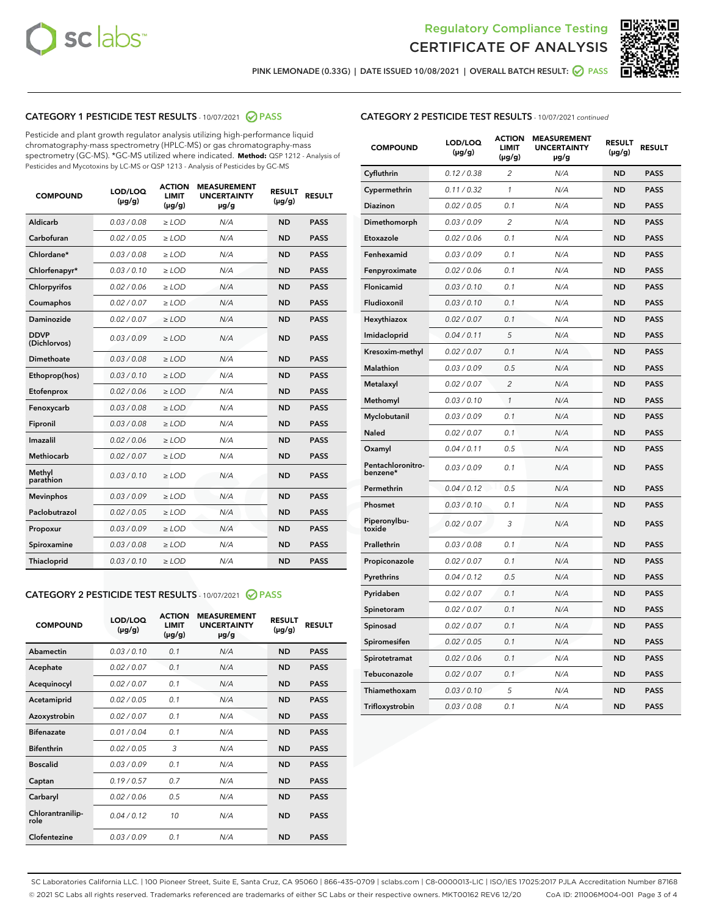



PINK LEMONADE (0.33G) | DATE ISSUED 10/08/2021 | OVERALL BATCH RESULT: ☑ PASS

## CATEGORY 1 PESTICIDE TEST RESULTS - 10/07/2021 @ PASS

Pesticide and plant growth regulator analysis utilizing high-performance liquid chromatography-mass spectrometry (HPLC-MS) or gas chromatography-mass spectrometry (GC-MS). \*GC-MS utilized where indicated. **Method:** QSP 1212 - Analysis of Pesticides and Mycotoxins by LC-MS or QSP 1213 - Analysis of Pesticides by GC-MS

| Aldicarb<br>0.03 / 0.08<br>$\geq$ LOD<br><b>ND</b><br><b>PASS</b><br>N/A<br>Carbofuran<br>0.02 / 0.05<br>$>$ LOD<br>N/A<br><b>ND</b><br><b>PASS</b><br>Chlordane*<br>0.03 / 0.08<br>$\ge$ LOD<br>N/A<br><b>ND</b><br><b>PASS</b><br>Chlorfenapyr*<br>0.03/0.10<br>$>$ LOD<br>N/A<br><b>ND</b><br><b>PASS</b><br>Chlorpyrifos<br>0.02 / 0.06<br>N/A<br><b>ND</b><br><b>PASS</b><br>≥ LOD<br><b>PASS</b><br>Coumaphos<br>0.02 / 0.07<br>$\ge$ LOD<br>N/A<br><b>ND</b><br>Daminozide<br>0.02 / 0.07<br>N/A<br><b>ND</b><br><b>PASS</b><br>$\geq$ LOD<br><b>DDVP</b><br>0.03/0.09<br><b>ND</b><br><b>PASS</b><br>$\geq$ LOD<br>N/A<br>(Dichlorvos)<br>Dimethoate<br>0.03 / 0.08<br>N/A<br><b>ND</b><br><b>PASS</b><br>$>$ LOD<br>Ethoprop(hos)<br>0.03/0.10<br>$\ge$ LOD<br>N/A<br><b>ND</b><br><b>PASS</b><br>N/A<br>0.02 / 0.06<br>$>$ LOD<br><b>ND</b><br><b>PASS</b><br>Etofenprox<br>0.03 / 0.08<br>N/A<br><b>ND</b><br><b>PASS</b><br>Fenoxycarb<br>$\geq$ LOD<br>0.03/0.08<br>$>$ LOD<br>N/A<br><b>ND</b><br><b>PASS</b><br>Fipronil<br>0.02 / 0.06<br>N/A<br>Imazalil<br>$\geq$ LOD<br><b>ND</b><br><b>PASS</b><br><b>Methiocarb</b><br>0.02 / 0.07<br>$\ge$ LOD<br>N/A<br><b>ND</b><br><b>PASS</b><br>Methyl<br>0.03/0.10<br>N/A<br><b>ND</b><br><b>PASS</b><br>$\geq$ LOD<br>parathion<br><b>Mevinphos</b><br>0.03/0.09<br>$>$ LOD<br>N/A<br><b>ND</b><br><b>PASS</b><br>Paclobutrazol<br>0.02 / 0.05<br>$\geq$ LOD<br>N/A<br><b>ND</b><br><b>PASS</b><br>0.03/0.09<br>$\ge$ LOD<br>N/A<br><b>ND</b><br><b>PASS</b><br>Propoxur<br>Spiroxamine<br>0.03 / 0.08<br>$\ge$ LOD<br>N/A<br><b>ND</b><br><b>PASS</b><br>Thiacloprid<br>0.03/0.10<br>N/A<br><b>ND</b><br><b>PASS</b><br>$\geq$ LOD | <b>COMPOUND</b> | LOD/LOQ<br>$(\mu g/g)$ | <b>ACTION</b><br><b>LIMIT</b><br>$(\mu g/g)$ | <b>MEASUREMENT</b><br><b>UNCERTAINTY</b><br>µg/g | <b>RESULT</b><br>$(\mu g/g)$ | <b>RESULT</b> |
|--------------------------------------------------------------------------------------------------------------------------------------------------------------------------------------------------------------------------------------------------------------------------------------------------------------------------------------------------------------------------------------------------------------------------------------------------------------------------------------------------------------------------------------------------------------------------------------------------------------------------------------------------------------------------------------------------------------------------------------------------------------------------------------------------------------------------------------------------------------------------------------------------------------------------------------------------------------------------------------------------------------------------------------------------------------------------------------------------------------------------------------------------------------------------------------------------------------------------------------------------------------------------------------------------------------------------------------------------------------------------------------------------------------------------------------------------------------------------------------------------------------------------------------------------------------------------------------------------------------------------------------------------------------------------------------------------|-----------------|------------------------|----------------------------------------------|--------------------------------------------------|------------------------------|---------------|
|                                                                                                                                                                                                                                                                                                                                                                                                                                                                                                                                                                                                                                                                                                                                                                                                                                                                                                                                                                                                                                                                                                                                                                                                                                                                                                                                                                                                                                                                                                                                                                                                                                                                                                  |                 |                        |                                              |                                                  |                              |               |
|                                                                                                                                                                                                                                                                                                                                                                                                                                                                                                                                                                                                                                                                                                                                                                                                                                                                                                                                                                                                                                                                                                                                                                                                                                                                                                                                                                                                                                                                                                                                                                                                                                                                                                  |                 |                        |                                              |                                                  |                              |               |
|                                                                                                                                                                                                                                                                                                                                                                                                                                                                                                                                                                                                                                                                                                                                                                                                                                                                                                                                                                                                                                                                                                                                                                                                                                                                                                                                                                                                                                                                                                                                                                                                                                                                                                  |                 |                        |                                              |                                                  |                              |               |
|                                                                                                                                                                                                                                                                                                                                                                                                                                                                                                                                                                                                                                                                                                                                                                                                                                                                                                                                                                                                                                                                                                                                                                                                                                                                                                                                                                                                                                                                                                                                                                                                                                                                                                  |                 |                        |                                              |                                                  |                              |               |
|                                                                                                                                                                                                                                                                                                                                                                                                                                                                                                                                                                                                                                                                                                                                                                                                                                                                                                                                                                                                                                                                                                                                                                                                                                                                                                                                                                                                                                                                                                                                                                                                                                                                                                  |                 |                        |                                              |                                                  |                              |               |
|                                                                                                                                                                                                                                                                                                                                                                                                                                                                                                                                                                                                                                                                                                                                                                                                                                                                                                                                                                                                                                                                                                                                                                                                                                                                                                                                                                                                                                                                                                                                                                                                                                                                                                  |                 |                        |                                              |                                                  |                              |               |
|                                                                                                                                                                                                                                                                                                                                                                                                                                                                                                                                                                                                                                                                                                                                                                                                                                                                                                                                                                                                                                                                                                                                                                                                                                                                                                                                                                                                                                                                                                                                                                                                                                                                                                  |                 |                        |                                              |                                                  |                              |               |
|                                                                                                                                                                                                                                                                                                                                                                                                                                                                                                                                                                                                                                                                                                                                                                                                                                                                                                                                                                                                                                                                                                                                                                                                                                                                                                                                                                                                                                                                                                                                                                                                                                                                                                  |                 |                        |                                              |                                                  |                              |               |
|                                                                                                                                                                                                                                                                                                                                                                                                                                                                                                                                                                                                                                                                                                                                                                                                                                                                                                                                                                                                                                                                                                                                                                                                                                                                                                                                                                                                                                                                                                                                                                                                                                                                                                  |                 |                        |                                              |                                                  |                              |               |
|                                                                                                                                                                                                                                                                                                                                                                                                                                                                                                                                                                                                                                                                                                                                                                                                                                                                                                                                                                                                                                                                                                                                                                                                                                                                                                                                                                                                                                                                                                                                                                                                                                                                                                  |                 |                        |                                              |                                                  |                              |               |
|                                                                                                                                                                                                                                                                                                                                                                                                                                                                                                                                                                                                                                                                                                                                                                                                                                                                                                                                                                                                                                                                                                                                                                                                                                                                                                                                                                                                                                                                                                                                                                                                                                                                                                  |                 |                        |                                              |                                                  |                              |               |
|                                                                                                                                                                                                                                                                                                                                                                                                                                                                                                                                                                                                                                                                                                                                                                                                                                                                                                                                                                                                                                                                                                                                                                                                                                                                                                                                                                                                                                                                                                                                                                                                                                                                                                  |                 |                        |                                              |                                                  |                              |               |
|                                                                                                                                                                                                                                                                                                                                                                                                                                                                                                                                                                                                                                                                                                                                                                                                                                                                                                                                                                                                                                                                                                                                                                                                                                                                                                                                                                                                                                                                                                                                                                                                                                                                                                  |                 |                        |                                              |                                                  |                              |               |
|                                                                                                                                                                                                                                                                                                                                                                                                                                                                                                                                                                                                                                                                                                                                                                                                                                                                                                                                                                                                                                                                                                                                                                                                                                                                                                                                                                                                                                                                                                                                                                                                                                                                                                  |                 |                        |                                              |                                                  |                              |               |
|                                                                                                                                                                                                                                                                                                                                                                                                                                                                                                                                                                                                                                                                                                                                                                                                                                                                                                                                                                                                                                                                                                                                                                                                                                                                                                                                                                                                                                                                                                                                                                                                                                                                                                  |                 |                        |                                              |                                                  |                              |               |
|                                                                                                                                                                                                                                                                                                                                                                                                                                                                                                                                                                                                                                                                                                                                                                                                                                                                                                                                                                                                                                                                                                                                                                                                                                                                                                                                                                                                                                                                                                                                                                                                                                                                                                  |                 |                        |                                              |                                                  |                              |               |
|                                                                                                                                                                                                                                                                                                                                                                                                                                                                                                                                                                                                                                                                                                                                                                                                                                                                                                                                                                                                                                                                                                                                                                                                                                                                                                                                                                                                                                                                                                                                                                                                                                                                                                  |                 |                        |                                              |                                                  |                              |               |
|                                                                                                                                                                                                                                                                                                                                                                                                                                                                                                                                                                                                                                                                                                                                                                                                                                                                                                                                                                                                                                                                                                                                                                                                                                                                                                                                                                                                                                                                                                                                                                                                                                                                                                  |                 |                        |                                              |                                                  |                              |               |
|                                                                                                                                                                                                                                                                                                                                                                                                                                                                                                                                                                                                                                                                                                                                                                                                                                                                                                                                                                                                                                                                                                                                                                                                                                                                                                                                                                                                                                                                                                                                                                                                                                                                                                  |                 |                        |                                              |                                                  |                              |               |
|                                                                                                                                                                                                                                                                                                                                                                                                                                                                                                                                                                                                                                                                                                                                                                                                                                                                                                                                                                                                                                                                                                                                                                                                                                                                                                                                                                                                                                                                                                                                                                                                                                                                                                  |                 |                        |                                              |                                                  |                              |               |
|                                                                                                                                                                                                                                                                                                                                                                                                                                                                                                                                                                                                                                                                                                                                                                                                                                                                                                                                                                                                                                                                                                                                                                                                                                                                                                                                                                                                                                                                                                                                                                                                                                                                                                  |                 |                        |                                              |                                                  |                              |               |

#### CATEGORY 2 PESTICIDE TEST RESULTS - 10/07/2021 @ PASS

| <b>COMPOUND</b>          | LOD/LOQ<br>$(\mu g/g)$ | <b>ACTION</b><br><b>LIMIT</b><br>$(\mu g/g)$ | <b>MEASUREMENT</b><br><b>UNCERTAINTY</b><br>$\mu$ g/g | <b>RESULT</b><br>$(\mu g/g)$ | <b>RESULT</b> |
|--------------------------|------------------------|----------------------------------------------|-------------------------------------------------------|------------------------------|---------------|
| Abamectin                | 0.03/0.10              | 0.1                                          | N/A                                                   | <b>ND</b>                    | <b>PASS</b>   |
| Acephate                 | 0.02/0.07              | 0.1                                          | N/A                                                   | <b>ND</b>                    | <b>PASS</b>   |
| Acequinocyl              | 0.02/0.07              | 0.1                                          | N/A                                                   | <b>ND</b>                    | <b>PASS</b>   |
| Acetamiprid              | 0.02/0.05              | 0.1                                          | N/A                                                   | <b>ND</b>                    | <b>PASS</b>   |
| Azoxystrobin             | 0.02/0.07              | 0.1                                          | N/A                                                   | <b>ND</b>                    | <b>PASS</b>   |
| <b>Bifenazate</b>        | 0.01/0.04              | 0.1                                          | N/A                                                   | <b>ND</b>                    | <b>PASS</b>   |
| <b>Bifenthrin</b>        | 0.02 / 0.05            | 3                                            | N/A                                                   | <b>ND</b>                    | <b>PASS</b>   |
| <b>Boscalid</b>          | 0.03/0.09              | 0.1                                          | N/A                                                   | <b>ND</b>                    | <b>PASS</b>   |
| Captan                   | 0.19/0.57              | 0.7                                          | N/A                                                   | <b>ND</b>                    | <b>PASS</b>   |
| Carbaryl                 | 0.02/0.06              | 0.5                                          | N/A                                                   | <b>ND</b>                    | <b>PASS</b>   |
| Chlorantranilip-<br>role | 0.04/0.12              | 10                                           | N/A                                                   | <b>ND</b>                    | <b>PASS</b>   |
| Clofentezine             | 0.03/0.09              | 0.1                                          | N/A                                                   | <b>ND</b>                    | <b>PASS</b>   |

| <b>COMPOUND</b>               | LOD/LOQ<br>$(\mu g/g)$ | <b>ACTION</b><br>LIMIT<br>(µg/g) | <b>MEASUREMENT</b><br><b>UNCERTAINTY</b><br>µg/g | <b>RESULT</b><br>$(\mu g/g)$ | <b>RESULT</b> |
|-------------------------------|------------------------|----------------------------------|--------------------------------------------------|------------------------------|---------------|
| Cyfluthrin                    | 0.12 / 0.38            | 2                                | N/A                                              | <b>ND</b>                    | <b>PASS</b>   |
| Cypermethrin                  | 0.11 / 0.32            | 1                                | N/A                                              | <b>ND</b>                    | <b>PASS</b>   |
| Diazinon                      | 0.02 / 0.05            | 0.1                              | N/A                                              | <b>ND</b>                    | <b>PASS</b>   |
| Dimethomorph                  | 0.03 / 0.09            | 2                                | N/A                                              | <b>ND</b>                    | <b>PASS</b>   |
| Etoxazole                     | 0.02 / 0.06            | 0.1                              | N/A                                              | <b>ND</b>                    | <b>PASS</b>   |
| Fenhexamid                    | 0.03 / 0.09            | 0.1                              | N/A                                              | <b>ND</b>                    | <b>PASS</b>   |
| Fenpyroximate                 | 0.02 / 0.06            | 0.1                              | N/A                                              | <b>ND</b>                    | <b>PASS</b>   |
| Flonicamid                    | 0.03 / 0.10            | 0.1                              | N/A                                              | ND                           | <b>PASS</b>   |
| Fludioxonil                   | 0.03 / 0.10            | 0.1                              | N/A                                              | <b>ND</b>                    | <b>PASS</b>   |
| Hexythiazox                   | 0.02 / 0.07            | 0.1                              | N/A                                              | <b>ND</b>                    | <b>PASS</b>   |
| Imidacloprid                  | 0.04 / 0.11            | 5                                | N/A                                              | <b>ND</b>                    | <b>PASS</b>   |
| Kresoxim-methyl               | 0.02 / 0.07            | 0.1                              | N/A                                              | ND                           | <b>PASS</b>   |
| <b>Malathion</b>              | 0.03 / 0.09            | 0.5                              | N/A                                              | <b>ND</b>                    | <b>PASS</b>   |
| Metalaxyl                     | 0.02 / 0.07            | $\overline{c}$                   | N/A                                              | <b>ND</b>                    | <b>PASS</b>   |
| Methomyl                      | 0.03 / 0.10            | $\mathcal{I}$                    | N/A                                              | <b>ND</b>                    | <b>PASS</b>   |
| Myclobutanil                  | 0.03/0.09              | 0.1                              | N/A                                              | <b>ND</b>                    | <b>PASS</b>   |
| Naled                         | 0.02 / 0.07            | 0.1                              | N/A                                              | <b>ND</b>                    | <b>PASS</b>   |
| Oxamyl                        | 0.04 / 0.11            | 0.5                              | N/A                                              | ND                           | <b>PASS</b>   |
| Pentachloronitro-<br>benzene* | 0.03 / 0.09            | 0.1                              | N/A                                              | <b>ND</b>                    | <b>PASS</b>   |
| Permethrin                    | 0.04 / 0.12            | 0.5                              | N/A                                              | <b>ND</b>                    | <b>PASS</b>   |
| Phosmet                       | 0.03 / 0.10            | 0.1                              | N/A                                              | <b>ND</b>                    | <b>PASS</b>   |
| Piperonylbu-<br>toxide        | 0.02 / 0.07            | 3                                | N/A                                              | <b>ND</b>                    | <b>PASS</b>   |
| Prallethrin                   | 0.03 / 0.08            | 0.1                              | N/A                                              | ND                           | <b>PASS</b>   |
| Propiconazole                 | 0.02 / 0.07            | 0.1                              | N/A                                              | <b>ND</b>                    | <b>PASS</b>   |
| Pyrethrins                    | 0.04 / 0.12            | 0.5                              | N/A                                              | <b>ND</b>                    | <b>PASS</b>   |
| Pyridaben                     | 0.02 / 0.07            | 0.1                              | N/A                                              | ND                           | PASS          |
| Spinetoram                    | 0.02 / 0.07            | 0.1                              | N/A                                              | <b>ND</b>                    | <b>PASS</b>   |
| Spinosad                      | 0.02 / 0.07            | 0.1                              | N/A                                              | ND                           | <b>PASS</b>   |
| Spiromesifen                  | 0.02 / 0.05            | 0.1                              | N/A                                              | <b>ND</b>                    | PASS          |
| Spirotetramat                 | 0.02 / 0.06            | 0.1                              | N/A                                              | ND                           | PASS          |
| Tebuconazole                  | 0.02 / 0.07            | 0.1                              | N/A                                              | <b>ND</b>                    | <b>PASS</b>   |
| Thiamethoxam                  | 0.03 / 0.10            | 5                                | N/A                                              | <b>ND</b>                    | <b>PASS</b>   |
| Trifloxystrobin               | 0.03 / 0.08            | 0.1                              | N/A                                              | <b>ND</b>                    | <b>PASS</b>   |

SC Laboratories California LLC. | 100 Pioneer Street, Suite E, Santa Cruz, CA 95060 | 866-435-0709 | sclabs.com | C8-0000013-LIC | ISO/IES 17025:2017 PJLA Accreditation Number 87168 © 2021 SC Labs all rights reserved. Trademarks referenced are trademarks of either SC Labs or their respective owners. MKT00162 REV6 12/20 CoA ID: 211006M004-001 Page 3 of 4